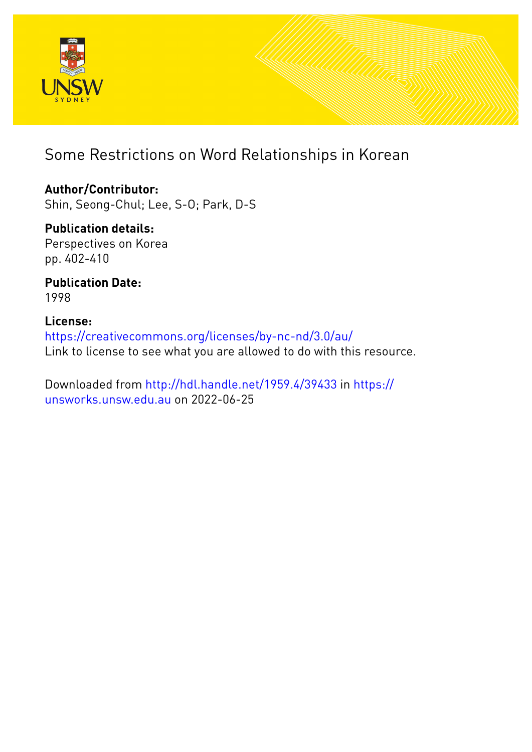

# Some Restrictions on Word Relationships in Korean

**Author/Contributor:** Shin, Seong-Chul; Lee, S-O; Park, D-S

**Publication details:** Perspectives on Korea pp. 402-410

**Publication Date:** 1998

**License:** <https://creativecommons.org/licenses/by-nc-nd/3.0/au/> Link to license to see what you are allowed to do with this resource.

Downloaded from <http://hdl.handle.net/1959.4/39433> in [https://](https://unsworks.unsw.edu.au) [unsworks.unsw.edu.au](https://unsworks.unsw.edu.au) on 2022-06-25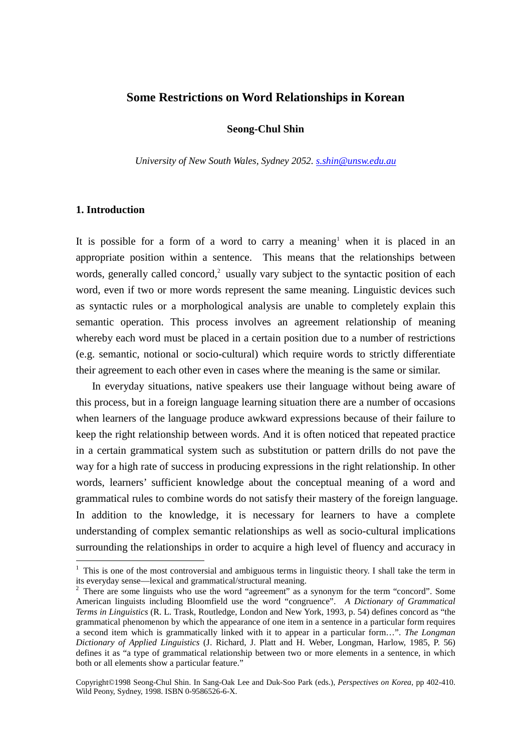## **Some Restrictions on Word Relationships in Korean**

**Seong-Chul Shin**

*University of New South Wales, Sydney 2052. s.shin@unsw.edu.au* 

### **1. Introduction**

It is possible for a form of a word to carry a meaning<sup>1</sup> when it is placed in an appropriate position within a sentence. This means that the relationships between words, generally called concord,<sup>2</sup> usually vary subject to the syntactic position of each word, even if two or more words represent the same meaning. Linguistic devices such as syntactic rules or a morphological analysis are unable to completely explain this semantic operation. This process involves an agreement relationship of meaning whereby each word must be placed in a certain position due to a number of restrictions (e.g. semantic, notional or socio-cultural) which require words to strictly differentiate their agreement to each other even in cases where the meaning is the same or similar.

 In everyday situations, native speakers use their language without being aware of this process, but in a foreign language learning situation there are a number of occasions when learners of the language produce awkward expressions because of their failure to keep the right relationship between words. And it is often noticed that repeated practice in a certain grammatical system such as substitution or pattern drills do not pave the way for a high rate of success in producing expressions in the right relationship. In other words, learners' sufficient knowledge about the conceptual meaning of a word and grammatical rules to combine words do not satisfy their mastery of the foreign language. In addition to the knowledge, it is necessary for learners to have a complete understanding of complex semantic relationships as well as socio-cultural implications surrounding the relationships in order to acquire a high level of fluency and accuracy in

<sup>&</sup>lt;sup>1</sup> This is one of the most controversial and ambiguous terms in linguistic theory. I shall take the term in its everyday sense—lexical and grammatical/structural meaning.

<sup>&</sup>lt;sup>2</sup> There are some linguists who use the word "agreement" as a synonym for the term "concord". Some American linguists including Bloomfield use the word "congruence". *A Dictionary of Grammatical Terms in Linguistics* (R. L. Trask, Routledge, London and New York, 1993, p. 54) defines concord as "the grammatical phenomenon by which the appearance of one item in a sentence in a particular form requires a second item which is grammatically linked with it to appear in a particular form…". *The Longman Dictionary of Applied Linguistics* (J. Richard, J. Platt and H. Weber, Longman, Harlow, 1985, P. 56) defines it as "a type of grammatical relationship between two or more elements in a sentence, in which both or all elements show a particular feature."

Copyright©1998 Seong-Chul Shin. In Sang-Oak Lee and Duk-Soo Park (eds.), *Perspectives on Korea*, pp 402-410. Wild Peony, Sydney, 1998. ISBN 0-9586526-6-X.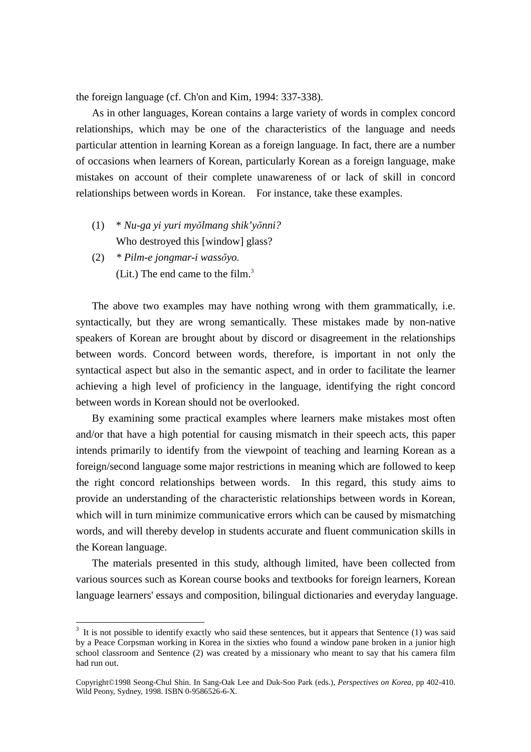the foreign language (cf. Ch'on and Kim, 1994: 337-338).

 As in other languages, Korean contains a large variety of words in complex concord relationships, which may be one of the characteristics of the language and needs particular attention in learning Korean as a foreign language. In fact, there are a number of occasions when learners of Korean, particularly Korean as a foreign language, make mistakes on account of their complete unawareness of or lack of skill in concord relationships between words in Korean. For instance, take these examples.

- (1) \* *Nu-ga yi yuri my*ŏ*lmang shik'y*ŏ*nni?* Who destroyed this [window] glass?
- (2) *\* Pilm-e jongmar-i wass*ŏ*yo.*  (Lit.) The end came to the film.<sup>3</sup>

 The above two examples may have nothing wrong with them grammatically, i.e. syntactically, but they are wrong semantically. These mistakes made by non-native speakers of Korean are brought about by discord or disagreement in the relationships between words. Concord between words, therefore, is important in not only the syntactical aspect but also in the semantic aspect, and in order to facilitate the learner achieving a high level of proficiency in the language, identifying the right concord between words in Korean should not be overlooked.

 By examining some practical examples where learners make mistakes most often and/or that have a high potential for causing mismatch in their speech acts, this paper intends primarily to identify from the viewpoint of teaching and learning Korean as a foreign/second language some major restrictions in meaning which are followed to keep the right concord relationships between words. In this regard, this study aims to provide an understanding of the characteristic relationships between words in Korean, which will in turn minimize communicative errors which can be caused by mismatching words, and will thereby develop in students accurate and fluent communication skills in the Korean language.

 The materials presented in this study, although limited, have been collected from various sources such as Korean course books and textbooks for foreign learners, Korean language learners' essays and composition, bilingual dictionaries and everyday language.

<sup>&</sup>lt;sup>3</sup> It is not possible to identify exactly who said these sentences, but it appears that Sentence (1) was said by a Peace Corpsman working in Korea in the sixties who found a window pane broken in a junior high school classroom and Sentence (2) was created by a missionary who meant to say that his camera film had run out.

Copyright©1998 Seong-Chul Shin. In Sang-Oak Lee and Duk-Soo Park (eds.), *Perspectives on Korea*, pp 402-410. Wild Peony, Sydney, 1998. ISBN 0-9586526-6-X.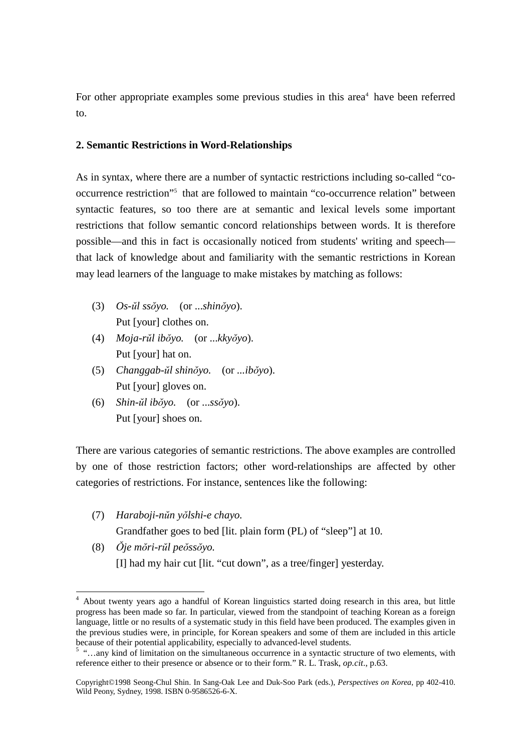For other appropriate examples some previous studies in this area<sup>4</sup> have been referred to.

## **2. Semantic Restrictions in Word-Relationships**

As in syntax, where there are a number of syntactic restrictions including so-called "cooccurrence restriction"<sup>5</sup> that are followed to maintain "co-occurrence relation" between syntactic features, so too there are at semantic and lexical levels some important restrictions that follow semantic concord relationships between words. It is therefore possible—and this in fact is occasionally noticed from students' writing and speech that lack of knowledge about and familiarity with the semantic restrictions in Korean may lead learners of the language to make mistakes by matching as follows:

- (3) *Os-*ŭ*l ss*ŏ*yo.* (or ...*shin*ŏ*yo*). Put [your] clothes on.
- (4) *Moja-r*ŭ*l ib*ŏ*yo.* (or ...*kky*ŏ*yo*). Put [your] hat on.
- (5) *Changgab-*ŭ*l shin*ŏ*yo.* (or *...ib*ŏ*yo*). Put [your] gloves on.
- (6) *Shin-*ŭ*l ib*ŏ*yo.* (or ...*ss*ŏ*yo*). Put [your] shoes on.

There are various categories of semantic restrictions. The above examples are controlled by one of those restriction factors; other word-relationships are affected by other categories of restrictions. For instance, sentences like the following:

(7) *Haraboji-n*ŭ*n y*ŏ*lshi-e chayo.* 

Grandfather goes to bed [lit. plain form (PL) of "sleep"] at 10.

(8) Ŏ*je m*ŏ*ri-r*ŭ*l pe*ŏ*ss*ŏ*yo.* [I] had my hair cut [lit. "cut down", as a tree/finger] yesterday.

<sup>4</sup> About twenty years ago a handful of Korean linguistics started doing research in this area, but little progress has been made so far. In particular, viewed from the standpoint of teaching Korean as a foreign language, little or no results of a systematic study in this field have been produced. The examples given in the previous studies were, in principle, for Korean speakers and some of them are included in this article because of their potential applicability, especially to advanced-level students.

<sup>&</sup>lt;sup>5</sup> "...any kind of limitation on the simultaneous occurrence in a syntactic structure of two elements, with reference either to their presence or absence or to their form." R. L. Trask, *op.cit*., p.63.

Copyright©1998 Seong-Chul Shin. In Sang-Oak Lee and Duk-Soo Park (eds.), *Perspectives on Korea*, pp 402-410. Wild Peony, Sydney, 1998. ISBN 0-9586526-6-X.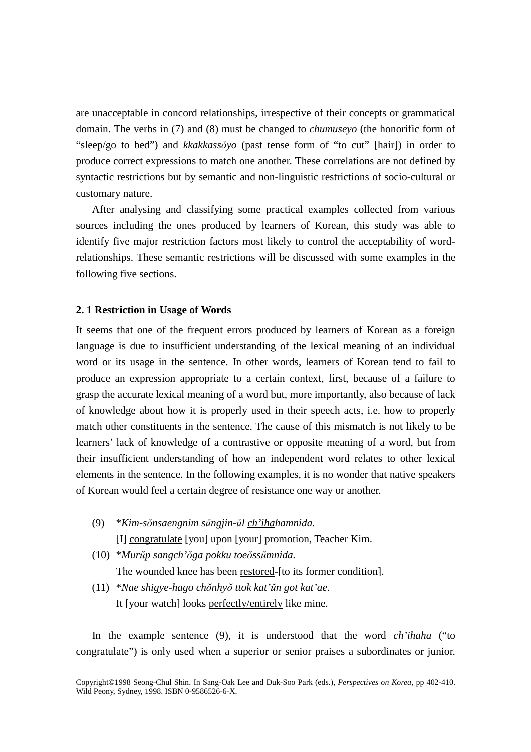are unacceptable in concord relationships, irrespective of their concepts or grammatical domain. The verbs in (7) and (8) must be changed to *chumuseyo* (the honorific form of "sleep/go to bed") and *kkakkass*ŏ*yo* (past tense form of "to cut" [hair]) in order to produce correct expressions to match one another. These correlations are not defined by syntactic restrictions but by semantic and non-linguistic restrictions of socio-cultural or customary nature.

 After analysing and classifying some practical examples collected from various sources including the ones produced by learners of Korean, this study was able to identify five major restriction factors most likely to control the acceptability of wordrelationships. These semantic restrictions will be discussed with some examples in the following five sections.

#### **2. 1 Restriction in Usage of Words**

It seems that one of the frequent errors produced by learners of Korean as a foreign language is due to insufficient understanding of the lexical meaning of an individual word or its usage in the sentence. In other words, learners of Korean tend to fail to produce an expression appropriate to a certain context, first, because of a failure to grasp the accurate lexical meaning of a word but, more importantly, also because of lack of knowledge about how it is properly used in their speech acts, i.e. how to properly match other constituents in the sentence. The cause of this mismatch is not likely to be learners' lack of knowledge of a contrastive or opposite meaning of a word, but from their insufficient understanding of how an independent word relates to other lexical elements in the sentence. In the following examples, it is no wonder that native speakers of Korean would feel a certain degree of resistance one way or another.

- (9) \**Kim-s*ŏ*nsaengnim s*ŭ*ngjin-*ŭ*l ch'ihahamnida.*  [I] congratulate [you] upon [your] promotion, Teacher Kim.
- (10) \**Mur*ŭ*p sangch'*ŏ*ga pokku toe*ŏ*ss*ŭ*mnida.*

The wounded knee has been restored-[to its former condition].

(11) \**Nae shigye-hago ch*ŏ*nhy*ŏ *ttok kat'*ŭ*n got kat'ae.*  It [your watch] looks perfectly/entirely like mine.

 In the example sentence (9), it is understood that the word *ch'ihaha* ("to congratulate") is only used when a superior or senior praises a subordinates or junior.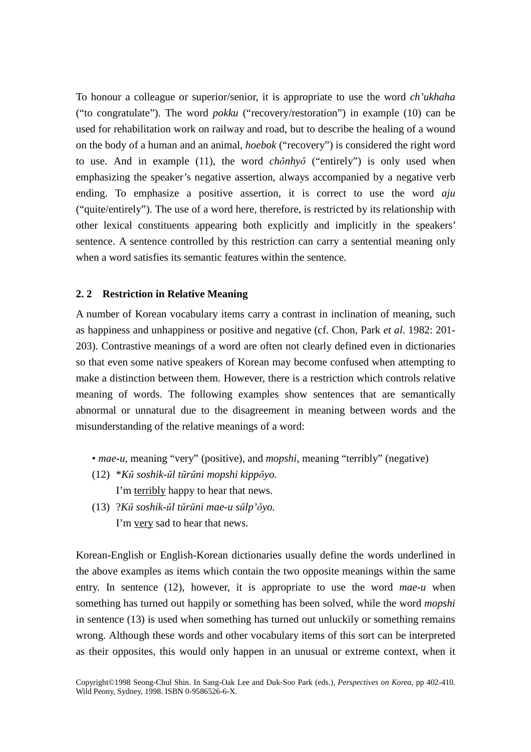To honour a colleague or superior/senior, it is appropriate to use the word *ch'ukhaha* ("to congratulate"). The word *pokku* ("recovery/restoration") in example (10) can be used for rehabilitation work on railway and road, but to describe the healing of a wound on the body of a human and an animal, *hoebok* ("recovery") is considered the right word to use. And in example (11), the word *ch*ŏ*nhy*ŏ ("entirely") is only used when emphasizing the speaker's negative assertion, always accompanied by a negative verb ending. To emphasize a positive assertion, it is correct to use the word *aju* ("quite/entirely"). The use of a word here, therefore, is restricted by its relationship with other lexical constituents appearing both explicitly and implicitly in the speakers' sentence. A sentence controlled by this restriction can carry a sentential meaning only when a word satisfies its semantic features within the sentence.

### **2. 2 Restriction in Relative Meaning**

A number of Korean vocabulary items carry a contrast in inclination of meaning, such as happiness and unhappiness or positive and negative (cf. Chon, Park *et al*. 1982: 201- 203). Contrastive meanings of a word are often not clearly defined even in dictionaries so that even some native speakers of Korean may become confused when attempting to make a distinction between them. However, there is a restriction which controls relative meaning of words. The following examples show sentences that are semantically abnormal or unnatural due to the disagreement in meaning between words and the misunderstanding of the relative meanings of a word:

- *mae-u*, meaning "very" (positive), and *mopshi*, meaning "terribly" (negative)
- (12) \**K*ŭ *soshik-*ŭ*l t*ŭ*r*ŭ*ni mopshi kipp*ŏ*yo.* I'm terribly happy to hear that news.
- (13) ?*K*ŭ *soshik-*ŭ*l t*ŭ*r*ŭ*ni mae-u s*ŭ*lp'*ŏ*yo.*  I'm very sad to hear that news.

Korean-English or English-Korean dictionaries usually define the words underlined in the above examples as items which contain the two opposite meanings within the same entry. In sentence (12), however, it is appropriate to use the word *mae-u* when something has turned out happily or something has been solved, while the word *mopshi* in sentence (13) is used when something has turned out unluckily or something remains wrong. Although these words and other vocabulary items of this sort can be interpreted as their opposites, this would only happen in an unusual or extreme context, when it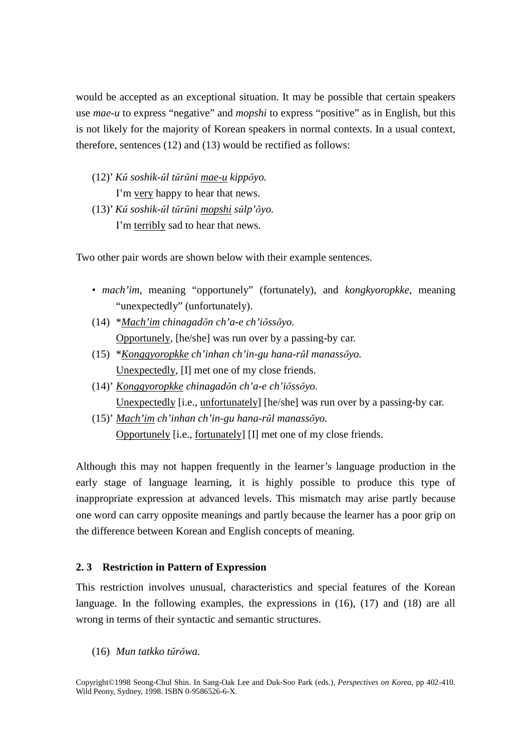would be accepted as an exceptional situation. It may be possible that certain speakers use *mae-u* to express "negative" and *mopshi* to express "positive" as in English, but this is not likely for the majority of Korean speakers in normal contexts. In a usual context, therefore, sentences (12) and (13) would be rectified as follows:

- (12)' *K*ŭ *soshik-*ŭ*l t*ŭ*r*ŭ*ni mae-u kipp*ŏ*yo.* 
	- I'm very happy to hear that news.
- (13)' *K*ŭ *soshik-*ŭ*l t*ŭ*r*ŭ*ni mopshi s*ŭ*lp'*ŏ*yo.*  I'm terribly sad to hear that news.

Two other pair words are shown below with their example sentences.

- *mach'im*, meaning "opportunely" (fortunately), and *kongkyoropkke*, meaning "unexpectedly" (unfortunately).
- (14) \**Mach'im chinagad*ŏ*n ch'a-e ch'i*ŏ*ss*ŏ*yo.*  Opportunely, [he/she] was run over by a passing-by car.
- (15) \**Konggyoropkke ch'inhan ch'in-gu hana-r*ŭ*l manass*ŏ*yo.* Unexpectedly, [I] met one of my close friends.
- (14)' *Konggyoropkke chinagad*ŏ*n ch'a-e ch'i*ŏ*ss*ŏ*yo.*  Unexpectedly [i.e., unfortunately] [he/she] was run over by a passing-by car.
- (15)' *Mach'im ch'inhan ch'in-gu hana-r*ŭ*l manass*ŏ*yo.*  Opportunely [i.e., fortunately] [I] met one of my close friends.

Although this may not happen frequently in the learner's language production in the early stage of language learning, it is highly possible to produce this type of inappropriate expression at advanced levels. This mismatch may arise partly because one word can carry opposite meanings and partly because the learner has a poor grip on the difference between Korean and English concepts of meaning.

# **2. 3 Restriction in Pattern of Expression**

This restriction involves unusual, characteristics and special features of the Korean language. In the following examples, the expressions in (16), (17) and (18) are all wrong in terms of their syntactic and semantic structures.

(16) *Mun tatkko t*ŭ*r*ŏ*wa.*

Copyright©1998 Seong-Chul Shin. In Sang-Oak Lee and Duk-Soo Park (eds.), *Perspectives on Korea*, pp 402-410. Wild Peony, Sydney, 1998. ISBN 0-9586526-6-X.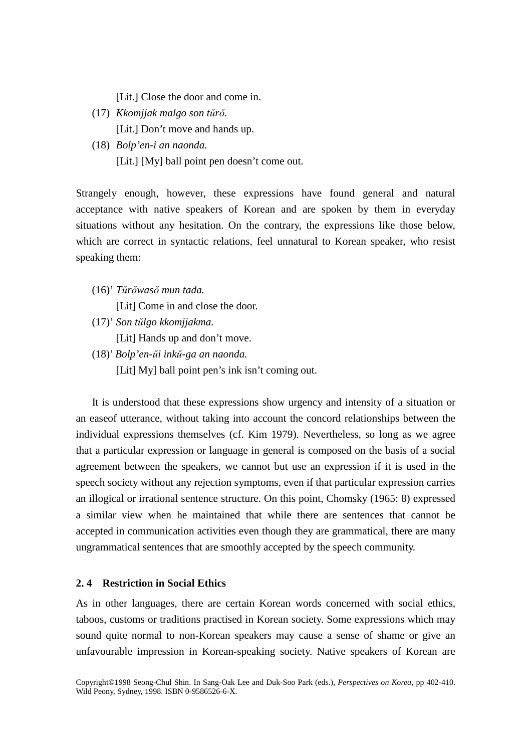[Lit.] Close the door and come in.

- (17) *Kkomjjak malgo son t*ŭ*r*ŏ*.* [Lit.] Don't move and hands up.
- (18) *Bolp'en-i an naonda.*  [Lit.] [My] ball point pen doesn't come out.

Strangely enough, however, these expressions have found general and natural acceptance with native speakers of Korean and are spoken by them in everyday situations without any hesitation. On the contrary, the expressions like those below, which are correct in syntactic relations, feel unnatural to Korean speaker, who resist speaking them:

(16)' *T*ŭ*r*ŏ*was*ŏ *mun tada.* 

[Lit] Come in and close the door.

(17)' *Son t*ŭ*lgo kkomjjakma.*

[Lit] Hands up and don't move.

(18)' *Bolp'en-*ŭ*i ink*ŭ*-ga an naonda.* 

[Lit] My] ball point pen's ink isn't coming out.

 It is understood that these expressions show urgency and intensity of a situation or an easeof utterance, without taking into account the concord relationships between the individual expressions themselves (cf. Kim 1979). Nevertheless, so long as we agree that a particular expression or language in general is composed on the basis of a social agreement between the speakers, we cannot but use an expression if it is used in the speech society without any rejection symptoms, even if that particular expression carries an illogical or irrational sentence structure. On this point, Chomsky (1965: 8) expressed a similar view when he maintained that while there are sentences that cannot be accepted in communication activities even though they are grammatical, there are many ungrammatical sentences that are smoothly accepted by the speech community.

# **2. 4 Restriction in Social Ethics**

As in other languages, there are certain Korean words concerned with social ethics, taboos, customs or traditions practised in Korean society. Some expressions which may sound quite normal to non-Korean speakers may cause a sense of shame or give an unfavourable impression in Korean-speaking society. Native speakers of Korean are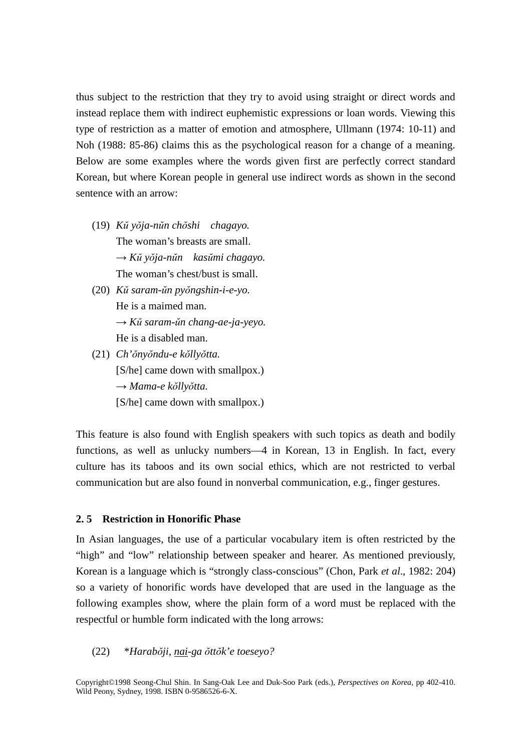thus subject to the restriction that they try to avoid using straight or direct words and instead replace them with indirect euphemistic expressions or loan words. Viewing this type of restriction as a matter of emotion and atmosphere, Ullmann (1974: 10-11) and Noh (1988: 85-86) claims this as the psychological reason for a change of a meaning. Below are some examples where the words given first are perfectly correct standard Korean, but where Korean people in general use indirect words as shown in the second sentence with an arrow:

- (19) *K*ŭ *y*ŏ*ja-n*ŭ*n ch*ŏ*shi chagayo.*  The woman's breasts are small. → *K*ŭ *y*ŏ*ja-n*ŭ*n kas*ŭ*mi chagayo.* The woman's chest/bust is small.
- (20) *K*ŭ *saram-*ŭ*n py*ŏ*ngshin-i-e-yo.*  He is a maimed man. → *K*ŭ *saram-*ŭ*n chang-ae-ja-yeyo.*  He is a disabled man.
- (21) *Ch'*ŏ*ny*ŏ*ndu-e k*ŏ*lly*ŏ*tta.*  [S/he] came down with smallpox.) → *Mama-e k*ŏ*lly*ŏ*tta.*  [S/he] came down with smallpox.)

This feature is also found with English speakers with such topics as death and bodily functions, as well as unlucky numbers—4 in Korean, 13 in English. In fact, every culture has its taboos and its own social ethics, which are not restricted to verbal communication but are also found in nonverbal communication, e.g., finger gestures.

## **2. 5 Restriction in Honorific Phase**

In Asian languages, the use of a particular vocabulary item is often restricted by the "high" and "low" relationship between speaker and hearer. As mentioned previously, Korean is a language which is "strongly class-conscious" (Chon, Park *et al*., 1982: 204) so a variety of honorific words have developed that are used in the language as the following examples show, where the plain form of a word must be replaced with the respectful or humble form indicated with the long arrows:

(22) \**Harab*ŏ*ji, nai-ga* ŏ*tt*ŏ*k'e toeseyo?* 

Copyright©1998 Seong-Chul Shin. In Sang-Oak Lee and Duk-Soo Park (eds.), *Perspectives on Korea*, pp 402-410. Wild Peony, Sydney, 1998. ISBN 0-9586526-6-X.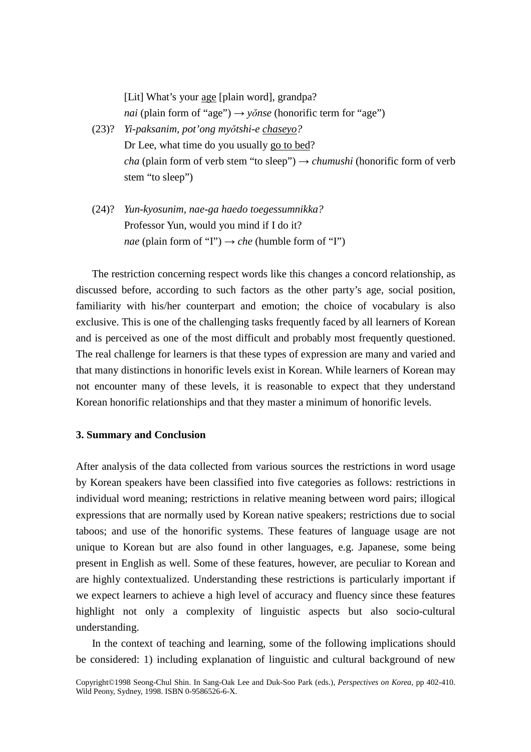[Lit] What's your age [plain word], grandpa? *nai* (plain form of "age")  $\rightarrow$  *yŏnse* (honorific term for "age")

- (23)? *Yi-paksanim, pot'ong my*ŏ*tshi-e chaseyo?* Dr Lee, what time do you usually go to bed? *cha* (plain form of verb stem "to sleep")  $\rightarrow$  *chumushi* (honorific form of verb stem "to sleep")
- (24)? *Yun-kyosunim, nae-ga haedo toegessumnikka?* Professor Yun, would you mind if I do it? *nae* (plain form of "I")  $\rightarrow$  *che* (humble form of "I")

 The restriction concerning respect words like this changes a concord relationship, as discussed before, according to such factors as the other party's age, social position, familiarity with his/her counterpart and emotion; the choice of vocabulary is also exclusive. This is one of the challenging tasks frequently faced by all learners of Korean and is perceived as one of the most difficult and probably most frequently questioned. The real challenge for learners is that these types of expression are many and varied and that many distinctions in honorific levels exist in Korean. While learners of Korean may not encounter many of these levels, it is reasonable to expect that they understand Korean honorific relationships and that they master a minimum of honorific levels.

## **3. Summary and Conclusion**

After analysis of the data collected from various sources the restrictions in word usage by Korean speakers have been classified into five categories as follows: restrictions in individual word meaning; restrictions in relative meaning between word pairs; illogical expressions that are normally used by Korean native speakers; restrictions due to social taboos; and use of the honorific systems. These features of language usage are not unique to Korean but are also found in other languages, e.g. Japanese, some being present in English as well. Some of these features, however, are peculiar to Korean and are highly contextualized. Understanding these restrictions is particularly important if we expect learners to achieve a high level of accuracy and fluency since these features highlight not only a complexity of linguistic aspects but also socio-cultural understanding.

 In the context of teaching and learning, some of the following implications should be considered: 1) including explanation of linguistic and cultural background of new

Copyright©1998 Seong-Chul Shin. In Sang-Oak Lee and Duk-Soo Park (eds.), *Perspectives on Korea*, pp 402-410. Wild Peony, Sydney, 1998. ISBN 0-9586526-6-X.